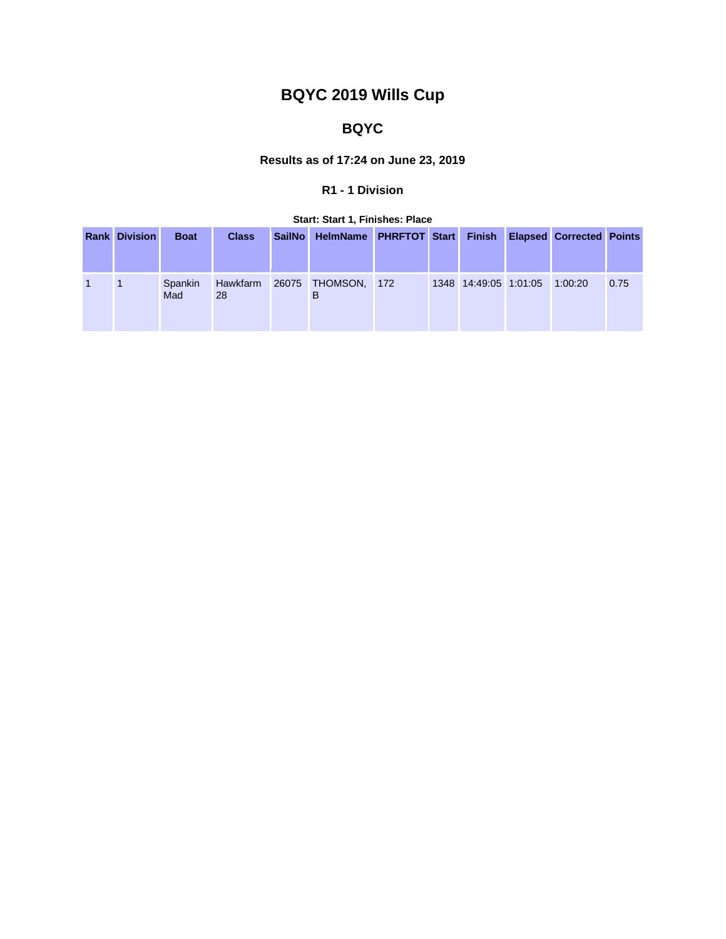# **BQYC 2019 Wills Cup**

## **BQYC**

## **Results as of 17:24 on June 23, 2019**

## **R1 - 1 Division**

#### **Start: Start 1, Finishes: Place**

| <b>Rank Division</b> | <b>Boat</b>    | <b>Class</b>   | <b>SailNo</b> | HelmName PHRFTOT Start Finish Elapsed Corrected Points |     |                       |         |      |
|----------------------|----------------|----------------|---------------|--------------------------------------------------------|-----|-----------------------|---------|------|
|                      | Spankin<br>Mad | Hawkfarm<br>28 |               | 26075 THOMSON,<br>в                                    | 172 | 1348 14:49:05 1:01:05 | 1:00:20 | 0.75 |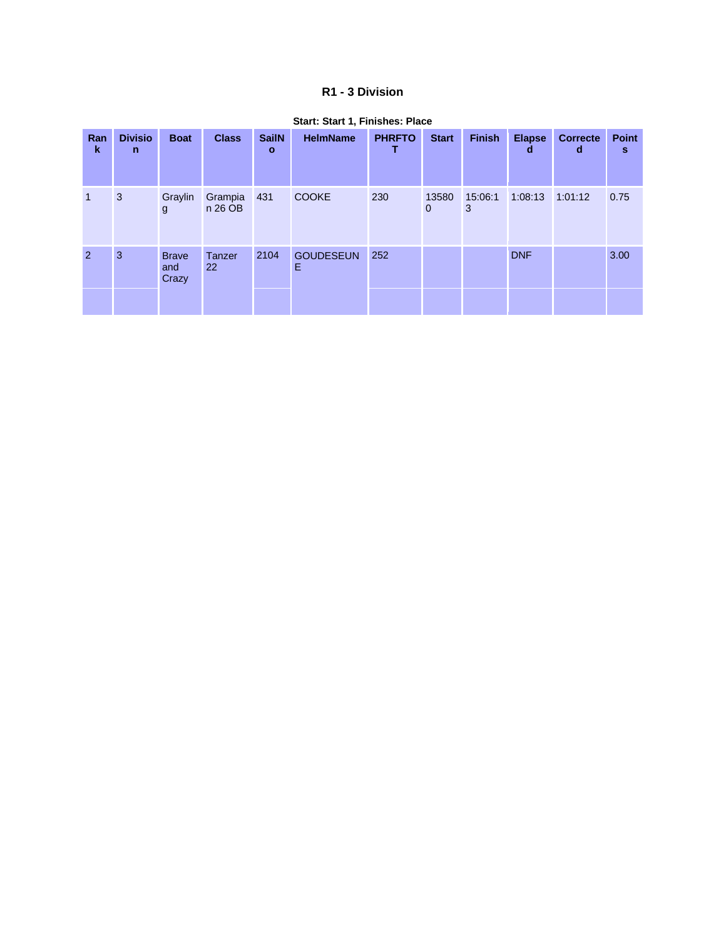#### R1 - 3 Division

| Ran<br>$\mathbf k$ | <b>Divisio</b><br>n | <b>Boat</b>                  | <b>Class</b>       | <b>SailN</b><br>$\mathbf{o}$ | <b>HelmName</b>       | <b>PHRFTO</b> | <b>Start</b>            | <b>Finish</b> | <b>Elapse</b><br>d | <b>Correcte</b><br>d | Point<br>s |
|--------------------|---------------------|------------------------------|--------------------|------------------------------|-----------------------|---------------|-------------------------|---------------|--------------------|----------------------|------------|
| $\mathbf{1}$       | 3                   | Graylin<br>$\mathbf{g}$      | Grampia<br>n 26 OB | 431                          | <b>COOKE</b>          | 230           | 13580<br>$\overline{0}$ | 15:06:1<br>3  | 1:08:13            | 1:01:12              | 0.75       |
| $\overline{2}$     | 3                   | <b>Brave</b><br>and<br>Crazy | Tanzer<br>22       | 2104                         | <b>GOUDESEUN</b><br>Ε | 252           |                         |               | <b>DNF</b>         |                      | 3.00       |

#### Start: Start 1, Finishes: Place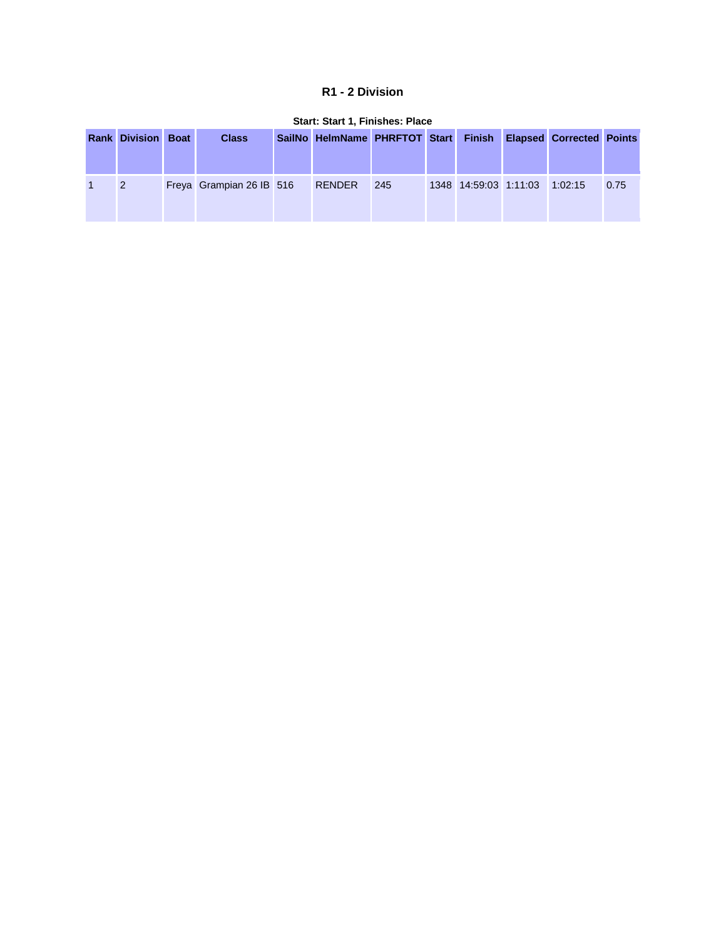#### **R1 - 2 Division**

| _______________________________ |  |                          |  |                                                               |     |  |                               |  |  |      |  |
|---------------------------------|--|--------------------------|--|---------------------------------------------------------------|-----|--|-------------------------------|--|--|------|--|
| <b>Rank Division Boat</b>       |  | <b>Class</b>             |  | SailNo HelmName PHRFTOT Start Finish Elapsed Corrected Points |     |  |                               |  |  |      |  |
| 2                               |  | Freya Grampian 26 IB 516 |  | RENDER                                                        | 245 |  | 1348 14:59:03 1:11:03 1:02:15 |  |  | 0.75 |  |

#### **Start: Start 1, Finishes: Place**